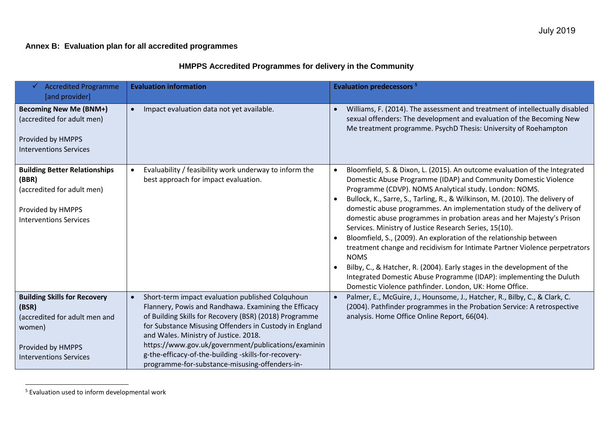## **Annex B: Evaluation plan for all accredited programmes**

## **HMPPS Accredited Programmes for delivery in the Community**

| <b>Accredited Programme</b><br>[and provider]                                                                                                 | <b>Evaluation information</b>                                                                                                                                                                                                                                                                                                                                                                                                                       | <b>Evaluation predecessors<sup>5</sup></b>                                                                                                                                                                                                                                                                                                                                                                                                                                                                                                                                                                                                                                                                                                                                                                                                                                         |
|-----------------------------------------------------------------------------------------------------------------------------------------------|-----------------------------------------------------------------------------------------------------------------------------------------------------------------------------------------------------------------------------------------------------------------------------------------------------------------------------------------------------------------------------------------------------------------------------------------------------|------------------------------------------------------------------------------------------------------------------------------------------------------------------------------------------------------------------------------------------------------------------------------------------------------------------------------------------------------------------------------------------------------------------------------------------------------------------------------------------------------------------------------------------------------------------------------------------------------------------------------------------------------------------------------------------------------------------------------------------------------------------------------------------------------------------------------------------------------------------------------------|
| <b>Becoming New Me (BNM+)</b><br>(accredited for adult men)<br>Provided by HMPPS<br><b>Interventions Services</b>                             | Impact evaluation data not yet available.<br>$\bullet$                                                                                                                                                                                                                                                                                                                                                                                              | Williams, F. (2014). The assessment and treatment of intellectually disabled<br>sexual offenders: The development and evaluation of the Becoming New<br>Me treatment programme. PsychD Thesis: University of Roehampton                                                                                                                                                                                                                                                                                                                                                                                                                                                                                                                                                                                                                                                            |
| <b>Building Better Relationships</b><br>(BBR)<br>(accredited for adult men)<br>Provided by HMPPS<br><b>Interventions Services</b>             | Evaluability / feasibility work underway to inform the<br>best approach for impact evaluation.                                                                                                                                                                                                                                                                                                                                                      | Bloomfield, S. & Dixon, L. (2015). An outcome evaluation of the Integrated<br>Domestic Abuse Programme (IDAP) and Community Domestic Violence<br>Programme (CDVP). NOMS Analytical study. London: NOMS.<br>Bullock, K., Sarre, S., Tarling, R., & Wilkinson, M. (2010). The delivery of<br>domestic abuse programmes. An implementation study of the delivery of<br>domestic abuse programmes in probation areas and her Majesty's Prison<br>Services. Ministry of Justice Research Series, 15(10).<br>Bloomfield, S., (2009). An exploration of the relationship between<br>treatment change and recidivism for Intimate Partner Violence perpetrators<br><b>NOMS</b><br>Bilby, C., & Hatcher, R. (2004). Early stages in the development of the<br>Integrated Domestic Abuse Programme (IDAP): implementing the Duluth<br>Domestic Violence pathfinder. London, UK: Home Office. |
| <b>Building Skills for Recovery</b><br>(BSR)<br>(accredited for adult men and<br>women)<br>Provided by HMPPS<br><b>Interventions Services</b> | Short-term impact evaluation published Colquhoun<br>$\bullet$<br>Flannery, Powis and Randhawa. Examining the Efficacy<br>of Building Skills for Recovery (BSR) (2018) Programme<br>for Substance Misusing Offenders in Custody in England<br>and Wales. Ministry of Justice. 2018.<br>https://www.gov.uk/government/publications/examinin<br>g-the-efficacy-of-the-building -skills-for-recovery-<br>programme-for-substance-misusing-offenders-in- | Palmer, E., McGuire, J., Hounsome, J., Hatcher, R., Bilby, C., & Clark, C.<br>(2004). Pathfinder programmes in the Probation Service: A retrospective<br>analysis. Home Office Online Report, 66(04).                                                                                                                                                                                                                                                                                                                                                                                                                                                                                                                                                                                                                                                                              |

<sup>&</sup>lt;sup>5</sup> Evaluation used to inform developmental work

l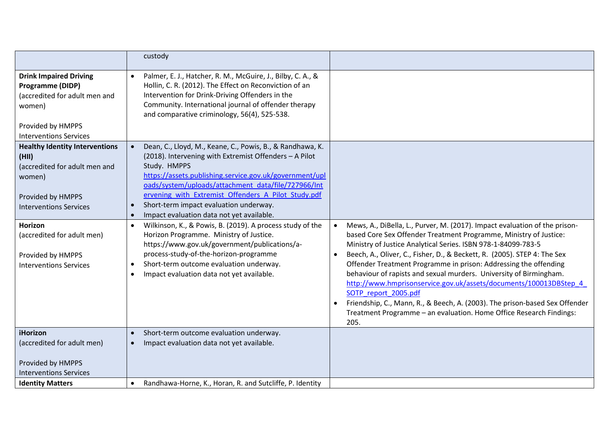|                                                                                                                                                           | custody                                                                                                                                                                                                                                                                                                                                                                                             |                                                                                                                                                                                                                                                                                                                                                                                                                                                                                                                                                                                                                                                                                                   |
|-----------------------------------------------------------------------------------------------------------------------------------------------------------|-----------------------------------------------------------------------------------------------------------------------------------------------------------------------------------------------------------------------------------------------------------------------------------------------------------------------------------------------------------------------------------------------------|---------------------------------------------------------------------------------------------------------------------------------------------------------------------------------------------------------------------------------------------------------------------------------------------------------------------------------------------------------------------------------------------------------------------------------------------------------------------------------------------------------------------------------------------------------------------------------------------------------------------------------------------------------------------------------------------------|
| <b>Drink Impaired Driving</b><br><b>Programme (DIDP)</b><br>(accredited for adult men and<br>women)<br>Provided by HMPPS<br><b>Interventions Services</b> | Palmer, E. J., Hatcher, R. M., McGuire, J., Bilby, C. A., &<br>$\bullet$<br>Hollin, C. R. (2012). The Effect on Reconviction of an<br>Intervention for Drink-Driving Offenders in the<br>Community. International journal of offender therapy<br>and comparative criminology, 56(4), 525-538.                                                                                                       |                                                                                                                                                                                                                                                                                                                                                                                                                                                                                                                                                                                                                                                                                                   |
| <b>Healthy Identity Interventions</b><br>(HII)<br>(accredited for adult men and<br>women)<br>Provided by HMPPS<br><b>Interventions Services</b>           | Dean, C., Lloyd, M., Keane, C., Powis, B., & Randhawa, K.<br>(2018). Intervening with Extremist Offenders - A Pilot<br>Study. HMPPS<br>https://assets.publishing.service.gov.uk/government/upl<br>oads/system/uploads/attachment_data/file/727966/Int<br>ervening with Extremist Offenders A Pilot Study.pdf<br>Short-term impact evaluation underway.<br>Impact evaluation data not yet available. |                                                                                                                                                                                                                                                                                                                                                                                                                                                                                                                                                                                                                                                                                                   |
| Horizon<br>(accredited for adult men)<br>Provided by HMPPS<br><b>Interventions Services</b>                                                               | Wilkinson, K., & Powis, B. (2019). A process study of the<br>$\bullet$<br>Horizon Programme. Ministry of Justice.<br>https://www.gov.uk/government/publications/a-<br>process-study-of-the-horizon-programme<br>Short-term outcome evaluation underway.<br>$\bullet$<br>Impact evaluation data not yet available.                                                                                   | Mews, A., DiBella, L., Purver, M. (2017). Impact evaluation of the prison-<br>based Core Sex Offender Treatment Programme, Ministry of Justice:<br>Ministry of Justice Analytical Series. ISBN 978-1-84099-783-5<br>Beech, A., Oliver, C., Fisher, D., & Beckett, R. (2005). STEP 4: The Sex<br>Offender Treatment Programme in prison: Addressing the offending<br>behaviour of rapists and sexual murders. University of Birmingham.<br>http://www.hmprisonservice.gov.uk/assets/documents/100013DBStep 4<br>SOTP report 2005.pdf<br>Friendship, C., Mann, R., & Beech, A. (2003). The prison-based Sex Offender<br>Treatment Programme - an evaluation. Home Office Research Findings:<br>205. |
| iHorizon<br>(accredited for adult men)<br>Provided by HMPPS<br><b>Interventions Services</b><br><b>Identity Matters</b>                                   | Short-term outcome evaluation underway.<br>$\bullet$<br>Impact evaluation data not yet available.<br>Randhawa-Horne, K., Horan, R. and Sutcliffe, P. Identity                                                                                                                                                                                                                                       |                                                                                                                                                                                                                                                                                                                                                                                                                                                                                                                                                                                                                                                                                                   |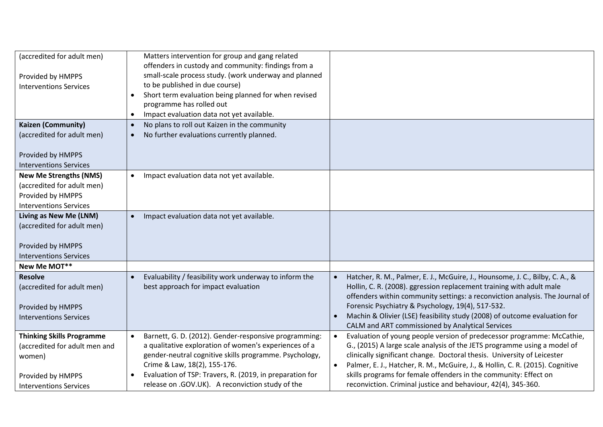| (accredited for adult men)       | Matters intervention for group and gang related                     |                                                                                            |
|----------------------------------|---------------------------------------------------------------------|--------------------------------------------------------------------------------------------|
|                                  | offenders in custody and community: findings from a                 |                                                                                            |
| Provided by HMPPS                | small-scale process study. (work underway and planned               |                                                                                            |
| <b>Interventions Services</b>    | to be published in due course)                                      |                                                                                            |
|                                  | Short term evaluation being planned for when revised                |                                                                                            |
|                                  | programme has rolled out                                            |                                                                                            |
|                                  | Impact evaluation data not yet available.<br>٠                      |                                                                                            |
| Kaizen (Community)               | No plans to roll out Kaizen in the community<br>$\bullet$           |                                                                                            |
| (accredited for adult men)       | No further evaluations currently planned.<br>$\bullet$              |                                                                                            |
|                                  |                                                                     |                                                                                            |
| Provided by HMPPS                |                                                                     |                                                                                            |
| <b>Interventions Services</b>    |                                                                     |                                                                                            |
| <b>New Me Strengths (NMS)</b>    | Impact evaluation data not yet available.<br>$\bullet$              |                                                                                            |
| (accredited for adult men)       |                                                                     |                                                                                            |
| Provided by HMPPS                |                                                                     |                                                                                            |
| <b>Interventions Services</b>    |                                                                     |                                                                                            |
| Living as New Me (LNM)           | Impact evaluation data not yet available.<br>$\bullet$              |                                                                                            |
| (accredited for adult men)       |                                                                     |                                                                                            |
|                                  |                                                                     |                                                                                            |
| Provided by HMPPS                |                                                                     |                                                                                            |
| <b>Interventions Services</b>    |                                                                     |                                                                                            |
| New Me MOT**                     |                                                                     |                                                                                            |
| <b>Resolve</b>                   | Evaluability / feasibility work underway to inform the<br>$\bullet$ | Hatcher, R. M., Palmer, E. J., McGuire, J., Hounsome, J. C., Bilby, C. A., &               |
| (accredited for adult men)       | best approach for impact evaluation                                 | Hollin, C. R. (2008). ggression replacement training with adult male                       |
|                                  |                                                                     | offenders within community settings: a reconviction analysis. The Journal of               |
| Provided by HMPPS                |                                                                     | Forensic Psychiatry & Psychology, 19(4), 517-532.                                          |
| <b>Interventions Services</b>    |                                                                     | Machin & Olivier (LSE) feasibility study (2008) of outcome evaluation for                  |
|                                  |                                                                     | CALM and ART commissioned by Analytical Services                                           |
| <b>Thinking Skills Programme</b> | Barnett, G. D. (2012). Gender-responsive programming:<br>$\bullet$  | Evaluation of young people version of predecessor programme: McCathie,<br>$\bullet$        |
| (accredited for adult men and    | a qualitative exploration of women's experiences of a               | G., (2015) A large scale analysis of the JETS programme using a model of                   |
| women)                           | gender-neutral cognitive skills programme. Psychology,              | clinically significant change. Doctoral thesis. University of Leicester                    |
|                                  | Crime & Law, 18(2), 155-176.                                        | Palmer, E. J., Hatcher, R. M., McGuire, J., & Hollin, C. R. (2015). Cognitive<br>$\bullet$ |
| Provided by HMPPS                | Evaluation of TSP: Travers, R. (2019, in preparation for            | skills programs for female offenders in the community: Effect on                           |
| <b>Interventions Services</b>    | release on .GOV.UK). A reconviction study of the                    | reconviction. Criminal justice and behaviour, 42(4), 345-360.                              |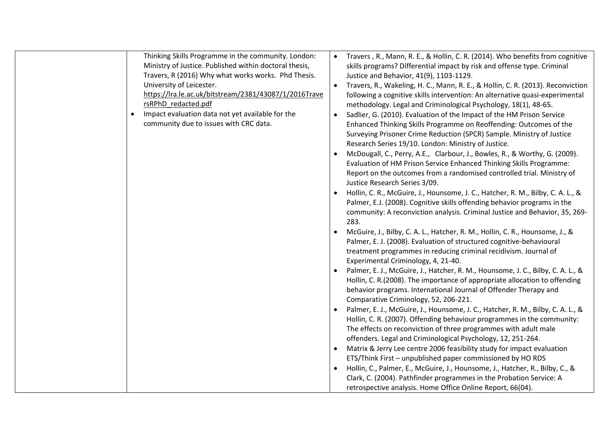| Thinking Skills Programme in the community. London:<br>Ministry of Justice. Published within doctoral thesis,<br>Travers, R (2016) Why what works works. Phd Thesis.<br>University of Leicester.<br>https://lra.le.ac.uk/bitstream/2381/43087/1/2016Trave<br>rsRPhD redacted.pdf<br>Impact evaluation data not yet available for the<br>community due to issues with CRC data. | Travers, R., Mann, R. E., & Hollin, C. R. (2014). Who benefits from cognitive<br>skills programs? Differential impact by risk and offense type. Criminal<br>Justice and Behavior, 41(9), 1103-1129.<br>Travers, R., Wakeling, H. C., Mann, R. E., & Hollin, C. R. (2013). Reconviction<br>following a cognitive skills intervention: An alternative quasi-experimental<br>methodology. Legal and Criminological Psychology, 18(1), 48-65.<br>Sadlier, G. (2010). Evaluation of the Impact of the HM Prison Service<br>Enhanced Thinking Skills Programme on Reoffending: Outcomes of the<br>Surveying Prisoner Crime Reduction (SPCR) Sample. Ministry of Justice<br>Research Series 19/10. London: Ministry of Justice.<br>McDougall, C., Perry, A.E., Clarbour, J., Bowles, R., & Worthy, G. (2009). |
|--------------------------------------------------------------------------------------------------------------------------------------------------------------------------------------------------------------------------------------------------------------------------------------------------------------------------------------------------------------------------------|--------------------------------------------------------------------------------------------------------------------------------------------------------------------------------------------------------------------------------------------------------------------------------------------------------------------------------------------------------------------------------------------------------------------------------------------------------------------------------------------------------------------------------------------------------------------------------------------------------------------------------------------------------------------------------------------------------------------------------------------------------------------------------------------------------|
|                                                                                                                                                                                                                                                                                                                                                                                | Evaluation of HM Prison Service Enhanced Thinking Skills Programme:<br>Report on the outcomes from a randomised controlled trial. Ministry of<br>Justice Research Series 3/09.<br>Hollin, C. R., McGuire, J., Hounsome, J. C., Hatcher, R. M., Bilby, C. A. L., &<br>Palmer, E.J. (2008). Cognitive skills offending behavior programs in the<br>community: A reconviction analysis. Criminal Justice and Behavior, 35, 269-<br>283.                                                                                                                                                                                                                                                                                                                                                                   |
|                                                                                                                                                                                                                                                                                                                                                                                | McGuire, J., Bilby, C. A. L., Hatcher, R. M., Hollin, C. R., Hounsome, J., &<br>Palmer, E. J. (2008). Evaluation of structured cognitive-behavioural<br>treatment programmes in reducing criminal recidivism. Journal of<br>Experimental Criminology, 4, 21-40.                                                                                                                                                                                                                                                                                                                                                                                                                                                                                                                                        |
|                                                                                                                                                                                                                                                                                                                                                                                | Palmer, E. J., McGuire, J., Hatcher, R. M., Hounsome, J. C., Bilby, C. A. L., &<br>Hollin, C. R.(2008). The importance of appropriate allocation to offending<br>behavior programs. International Journal of Offender Therapy and<br>Comparative Criminology, 52, 206-221.                                                                                                                                                                                                                                                                                                                                                                                                                                                                                                                             |
|                                                                                                                                                                                                                                                                                                                                                                                | Palmer, E. J., McGuire, J., Hounsome, J. C., Hatcher, R. M., Bilby, C. A. L., &<br>Hollin, C. R. (2007). Offending behaviour programmes in the community:<br>The effects on reconviction of three programmes with adult male<br>offenders. Legal and Criminological Psychology, 12, 251-264.                                                                                                                                                                                                                                                                                                                                                                                                                                                                                                           |
|                                                                                                                                                                                                                                                                                                                                                                                | Matrix & Jerry Lee centre 2006 feasibility study for impact evaluation<br>ETS/Think First - unpublished paper commissioned by HO RDS                                                                                                                                                                                                                                                                                                                                                                                                                                                                                                                                                                                                                                                                   |
|                                                                                                                                                                                                                                                                                                                                                                                | Hollin, C., Palmer, E., McGuire, J., Hounsome, J., Hatcher, R., Bilby, C., &<br>Clark, C. (2004). Pathfinder programmes in the Probation Service: A<br>retrospective analysis. Home Office Online Report, 66(04).                                                                                                                                                                                                                                                                                                                                                                                                                                                                                                                                                                                      |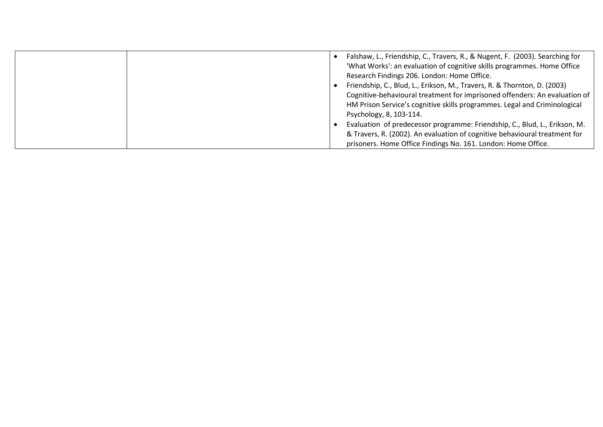| Falshaw, L., Friendship, C., Travers, R., & Nugent, F. (2003). Searching for<br>'What Works': an evaluation of cognitive skills programmes. Home Office<br>Research Findings 206. London: Home Office.                                                                                                                                                                                                                                                                                      |
|---------------------------------------------------------------------------------------------------------------------------------------------------------------------------------------------------------------------------------------------------------------------------------------------------------------------------------------------------------------------------------------------------------------------------------------------------------------------------------------------|
| Friendship, C., Blud, L., Erikson, M., Travers, R. & Thornton, D. (2003)<br>Cognitive-behavioural treatment for imprisoned offenders: An evaluation of<br>HM Prison Service's cognitive skills programmes. Legal and Criminological<br>Psychology, 8, 103-114.<br>Evaluation of predecessor programme: Friendship, C., Blud, L., Erikson, M.<br>& Travers, R. (2002). An evaluation of cognitive behavioural treatment for<br>prisoners. Home Office Findings No. 161. London: Home Office. |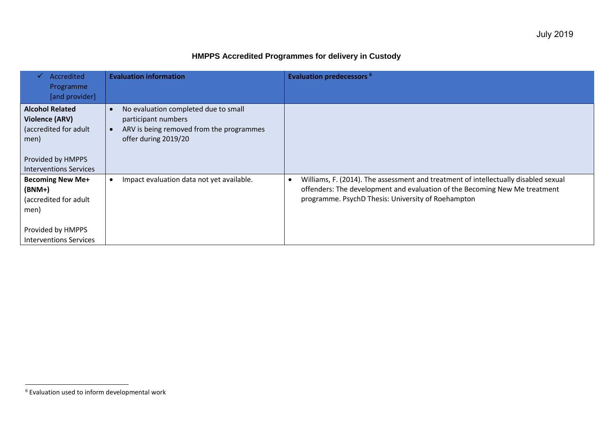# **HMPPS Accredited Programmes for delivery in Custody**

| Accredited<br>Programme<br>[and provider]                                                                                              | <b>Evaluation information</b>                                                                                                   | <b>Evaluation predecessors 6</b>                                                                                                                                                                                        |
|----------------------------------------------------------------------------------------------------------------------------------------|---------------------------------------------------------------------------------------------------------------------------------|-------------------------------------------------------------------------------------------------------------------------------------------------------------------------------------------------------------------------|
| <b>Alcohol Related</b><br><b>Violence (ARV)</b><br>(accredited for adult<br>men)<br>Provided by HMPPS<br><b>Interventions Services</b> | No evaluation completed due to small<br>participant numbers<br>ARV is being removed from the programmes<br>offer during 2019/20 |                                                                                                                                                                                                                         |
| <b>Becoming New Me+</b><br>$(BNM+)$<br>(accredited for adult<br>men)<br>Provided by HMPPS<br><b>Interventions Services</b>             | Impact evaluation data not yet available.                                                                                       | Williams, F. (2014). The assessment and treatment of intellectually disabled sexual<br>offenders: The development and evaluation of the Becoming New Me treatment<br>programme. PsychD Thesis: University of Roehampton |

l

 $6$  Evaluation used to inform developmental work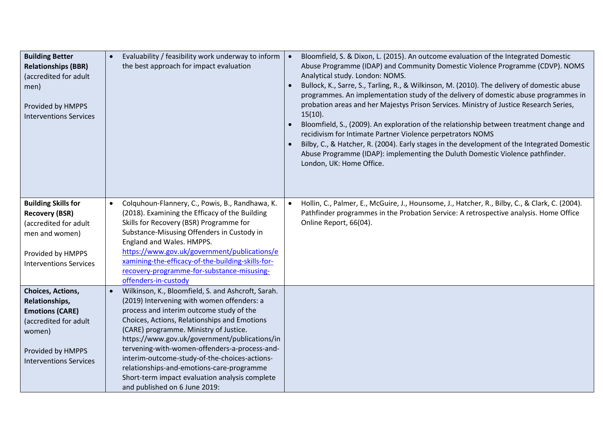| <b>Building Better</b><br><b>Relationships (BBR)</b><br>(accredited for adult<br>men)<br>Provided by HMPPS<br><b>Interventions Services</b>            | Evaluability / feasibility work underway to inform<br>the best approach for impact evaluation                                                                                                                                                                                                                                                                                                                                                                                                                             | Bloomfield, S. & Dixon, L. (2015). An outcome evaluation of the Integrated Domestic<br>$\bullet$<br>Abuse Programme (IDAP) and Community Domestic Violence Programme (CDVP). NOMS<br>Analytical study. London: NOMS.<br>Bullock, K., Sarre, S., Tarling, R., & Wilkinson, M. (2010). The delivery of domestic abuse<br>programmes. An implementation study of the delivery of domestic abuse programmes in<br>probation areas and her Majestys Prison Services. Ministry of Justice Research Series,<br>$15(10)$ .<br>Bloomfield, S., (2009). An exploration of the relationship between treatment change and<br>recidivism for Intimate Partner Violence perpetrators NOMS<br>Bilby, C., & Hatcher, R. (2004). Early stages in the development of the Integrated Domestic<br>Abuse Programme (IDAP): implementing the Duluth Domestic Violence pathfinder.<br>London, UK: Home Office. |
|--------------------------------------------------------------------------------------------------------------------------------------------------------|---------------------------------------------------------------------------------------------------------------------------------------------------------------------------------------------------------------------------------------------------------------------------------------------------------------------------------------------------------------------------------------------------------------------------------------------------------------------------------------------------------------------------|-----------------------------------------------------------------------------------------------------------------------------------------------------------------------------------------------------------------------------------------------------------------------------------------------------------------------------------------------------------------------------------------------------------------------------------------------------------------------------------------------------------------------------------------------------------------------------------------------------------------------------------------------------------------------------------------------------------------------------------------------------------------------------------------------------------------------------------------------------------------------------------------|
| <b>Building Skills for</b><br><b>Recovery (BSR)</b><br>(accredited for adult<br>men and women)<br>Provided by HMPPS<br><b>Interventions Services</b>   | Colquhoun-Flannery, C., Powis, B., Randhawa, K.<br>(2018). Examining the Efficacy of the Building<br>Skills for Recovery (BSR) Programme for<br>Substance-Misusing Offenders in Custody in<br>England and Wales. HMPPS.<br>https://www.gov.uk/government/publications/e<br>xamining-the-efficacy-of-the-building-skills-for-<br>recovery-programme-for-substance-misusing-<br>offenders-in-custody                                                                                                                        | Hollin, C., Palmer, E., McGuire, J., Hounsome, J., Hatcher, R., Bilby, C., & Clark, C. (2004).<br>$\bullet$<br>Pathfinder programmes in the Probation Service: A retrospective analysis. Home Office<br>Online Report, 66(04).                                                                                                                                                                                                                                                                                                                                                                                                                                                                                                                                                                                                                                                          |
| Choices, Actions,<br>Relationships,<br><b>Emotions (CARE)</b><br>(accredited for adult<br>women)<br>Provided by HMPPS<br><b>Interventions Services</b> | Wilkinson, K., Bloomfield, S. and Ashcroft, Sarah.<br>(2019) Intervening with women offenders: a<br>process and interim outcome study of the<br>Choices, Actions, Relationships and Emotions<br>(CARE) programme. Ministry of Justice.<br>https://www.gov.uk/government/publications/in<br>tervening-with-women-offenders-a-process-and-<br>interim-outcome-study-of-the-choices-actions-<br>relationships-and-emotions-care-programme<br>Short-term impact evaluation analysis complete<br>and published on 6 June 2019: |                                                                                                                                                                                                                                                                                                                                                                                                                                                                                                                                                                                                                                                                                                                                                                                                                                                                                         |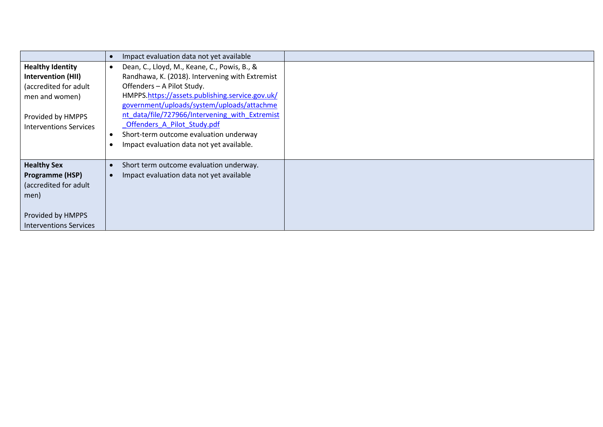|                                                                                                                                                       | Impact evaluation data not yet available                                                                                                                                                                                                                                                                                                                                                               |
|-------------------------------------------------------------------------------------------------------------------------------------------------------|--------------------------------------------------------------------------------------------------------------------------------------------------------------------------------------------------------------------------------------------------------------------------------------------------------------------------------------------------------------------------------------------------------|
| <b>Healthy Identity</b><br><b>Intervention (HII)</b><br>(accredited for adult<br>men and women)<br>Provided by HMPPS<br><b>Interventions Services</b> | Dean, C., Lloyd, M., Keane, C., Powis, B., &<br>Randhawa, K. (2018). Intervening with Extremist<br>Offenders - A Pilot Study.<br>HMPPS.https://assets.publishing.service.gov.uk/<br>government/uploads/system/uploads/attachme<br>nt data/file/727966/Intervening with Extremist<br>Offenders A Pilot Study.pdf<br>Short-term outcome evaluation underway<br>Impact evaluation data not yet available. |
| <b>Healthy Sex</b><br><b>Programme (HSP)</b><br>(accredited for adult<br>men)<br>Provided by HMPPS<br>Interventions Services                          | Short term outcome evaluation underway.<br>Impact evaluation data not yet available                                                                                                                                                                                                                                                                                                                    |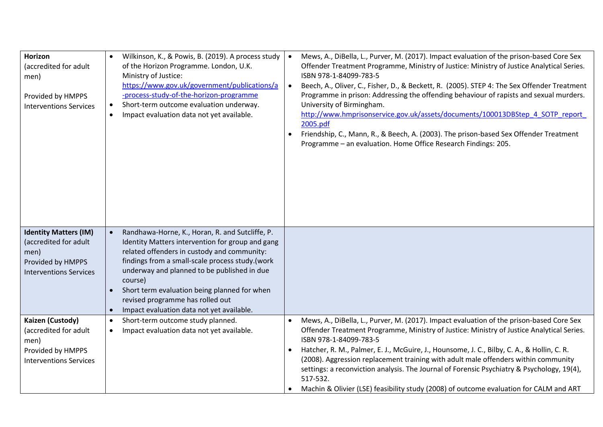| <b>Horizon</b><br>(accredited for adult<br>men)<br>Provided by HMPPS<br><b>Interventions Services</b>               | Wilkinson, K., & Powis, B. (2019). A process study<br>of the Horizon Programme. London, U.K.<br>Ministry of Justice:<br>https://www.gov.uk/government/publications/a<br>-process-study-of-the-horizon-programme<br>Short-term outcome evaluation underway.<br>$\bullet$<br>Impact evaluation data not yet available.<br>$\bullet$                                                                             | Mews, A., DiBella, L., Purver, M. (2017). Impact evaluation of the prison-based Core Sex<br>$\bullet$<br>Offender Treatment Programme, Ministry of Justice: Ministry of Justice Analytical Series.<br>ISBN 978-1-84099-783-5<br>Beech, A., Oliver, C., Fisher, D., & Beckett, R. (2005). STEP 4: The Sex Offender Treatment<br>$\bullet$<br>Programme in prison: Addressing the offending behaviour of rapists and sexual murders.<br>University of Birmingham.<br>http://www.hmprisonservice.gov.uk/assets/documents/100013DBStep_4_SOTP_report<br>2005.pdf<br>Friendship, C., Mann, R., & Beech, A. (2003). The prison-based Sex Offender Treatment<br>$\bullet$<br>Programme - an evaluation. Home Office Research Findings: 205. |
|---------------------------------------------------------------------------------------------------------------------|---------------------------------------------------------------------------------------------------------------------------------------------------------------------------------------------------------------------------------------------------------------------------------------------------------------------------------------------------------------------------------------------------------------|--------------------------------------------------------------------------------------------------------------------------------------------------------------------------------------------------------------------------------------------------------------------------------------------------------------------------------------------------------------------------------------------------------------------------------------------------------------------------------------------------------------------------------------------------------------------------------------------------------------------------------------------------------------------------------------------------------------------------------------|
| <b>Identity Matters (IM)</b><br>(accredited for adult<br>men)<br>Provided by HMPPS<br><b>Interventions Services</b> | Randhawa-Horne, K., Horan, R. and Sutcliffe, P.<br>$\bullet$<br>Identity Matters intervention for group and gang<br>related offenders in custody and community:<br>findings from a small-scale process study.(work<br>underway and planned to be published in due<br>course)<br>Short term evaluation being planned for when<br>revised programme has rolled out<br>Impact evaluation data not yet available. |                                                                                                                                                                                                                                                                                                                                                                                                                                                                                                                                                                                                                                                                                                                                      |
| Kaizen (Custody)<br>(accredited for adult<br>men)<br>Provided by HMPPS<br><b>Interventions Services</b>             | Short-term outcome study planned.<br>$\bullet$<br>Impact evaluation data not yet available.                                                                                                                                                                                                                                                                                                                   | Mews, A., DiBella, L., Purver, M. (2017). Impact evaluation of the prison-based Core Sex<br>$\bullet$<br>Offender Treatment Programme, Ministry of Justice: Ministry of Justice Analytical Series.<br>ISBN 978-1-84099-783-5<br>Hatcher, R. M., Palmer, E. J., McGuire, J., Hounsome, J. C., Bilby, C. A., & Hollin, C. R.<br>(2008). Aggression replacement training with adult male offenders within community<br>settings: a reconviction analysis. The Journal of Forensic Psychiatry & Psychology, 19(4),<br>517-532.<br>Machin & Olivier (LSE) feasibility study (2008) of outcome evaluation for CALM and ART                                                                                                                 |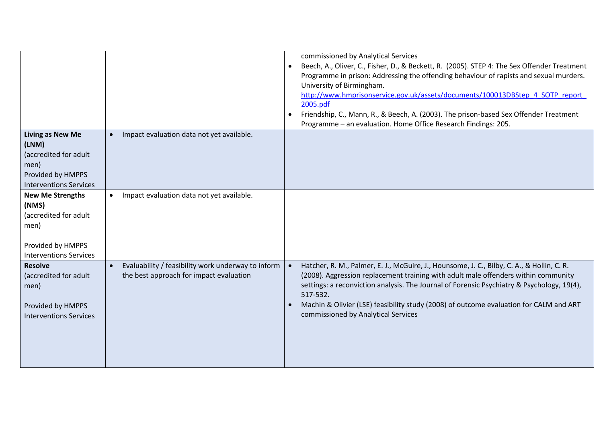|                                                                                                                         |                                                                                               | commissioned by Analytical Services<br>Beech, A., Oliver, C., Fisher, D., & Beckett, R. (2005). STEP 4: The Sex Offender Treatment<br>Programme in prison: Addressing the offending behaviour of rapists and sexual murders.<br>University of Birmingham.<br>http://www.hmprisonservice.gov.uk/assets/documents/100013DBStep 4 SOTP_report<br>2005.pdf<br>Friendship, C., Mann, R., & Beech, A. (2003). The prison-based Sex Offender Treatment<br>$\bullet$<br>Programme - an evaluation. Home Office Research Findings: 205. |
|-------------------------------------------------------------------------------------------------------------------------|-----------------------------------------------------------------------------------------------|--------------------------------------------------------------------------------------------------------------------------------------------------------------------------------------------------------------------------------------------------------------------------------------------------------------------------------------------------------------------------------------------------------------------------------------------------------------------------------------------------------------------------------|
| <b>Living as New Me</b><br>(LNM)<br>(accredited for adult<br>men)<br>Provided by HMPPS<br><b>Interventions Services</b> | Impact evaluation data not yet available.                                                     |                                                                                                                                                                                                                                                                                                                                                                                                                                                                                                                                |
| <b>New Me Strengths</b><br>(NMS)<br>(accredited for adult<br>men)<br>Provided by HMPPS<br><b>Interventions Services</b> | Impact evaluation data not yet available.<br>$\bullet$                                        |                                                                                                                                                                                                                                                                                                                                                                                                                                                                                                                                |
| <b>Resolve</b><br>(accredited for adult<br>men)<br>Provided by HMPPS<br><b>Interventions Services</b>                   | Evaluability / feasibility work underway to inform<br>the best approach for impact evaluation | Hatcher, R. M., Palmer, E. J., McGuire, J., Hounsome, J. C., Bilby, C. A., & Hollin, C. R.<br>(2008). Aggression replacement training with adult male offenders within community<br>settings: a reconviction analysis. The Journal of Forensic Psychiatry & Psychology, 19(4),<br>517-532.<br>Machin & Olivier (LSE) feasibility study (2008) of outcome evaluation for CALM and ART<br>commissioned by Analytical Services                                                                                                    |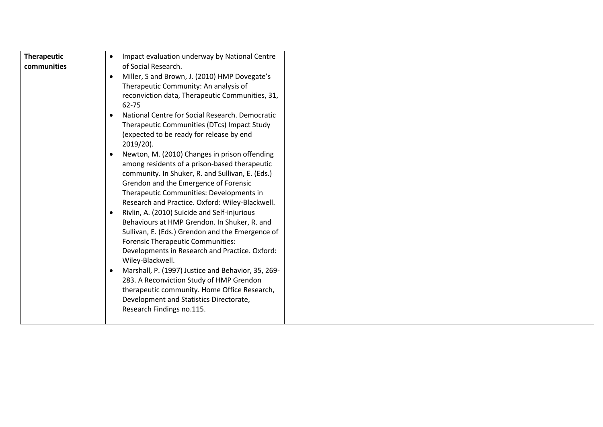| <b>Therapeutic</b> | Impact evaluation underway by National Centre<br>$\bullet$      |  |
|--------------------|-----------------------------------------------------------------|--|
| communities        | of Social Research.                                             |  |
|                    | Miller, S and Brown, J. (2010) HMP Dovegate's<br>$\bullet$      |  |
|                    | Therapeutic Community: An analysis of                           |  |
|                    | reconviction data, Therapeutic Communities, 31,                 |  |
|                    | 62-75                                                           |  |
|                    | National Centre for Social Research, Democratic<br>$\bullet$    |  |
|                    | Therapeutic Communities (DTcs) Impact Study                     |  |
|                    | (expected to be ready for release by end                        |  |
|                    | $2019/20$ ).                                                    |  |
|                    | Newton, M. (2010) Changes in prison offending<br>$\bullet$      |  |
|                    |                                                                 |  |
|                    | among residents of a prison-based therapeutic                   |  |
|                    | community. In Shuker, R. and Sullivan, E. (Eds.)                |  |
|                    | Grendon and the Emergence of Forensic                           |  |
|                    | Therapeutic Communities: Developments in                        |  |
|                    | Research and Practice. Oxford: Wiley-Blackwell.                 |  |
|                    | Rivlin, A. (2010) Suicide and Self-injurious<br>$\bullet$       |  |
|                    | Behaviours at HMP Grendon. In Shuker, R. and                    |  |
|                    | Sullivan, E. (Eds.) Grendon and the Emergence of                |  |
|                    | <b>Forensic Therapeutic Communities:</b>                        |  |
|                    | Developments in Research and Practice. Oxford:                  |  |
|                    | Wiley-Blackwell.                                                |  |
|                    | Marshall, P. (1997) Justice and Behavior, 35, 269-<br>$\bullet$ |  |
|                    | 283. A Reconviction Study of HMP Grendon                        |  |
|                    | therapeutic community. Home Office Research,                    |  |
|                    | Development and Statistics Directorate,                         |  |
|                    | Research Findings no.115.                                       |  |
|                    |                                                                 |  |
|                    |                                                                 |  |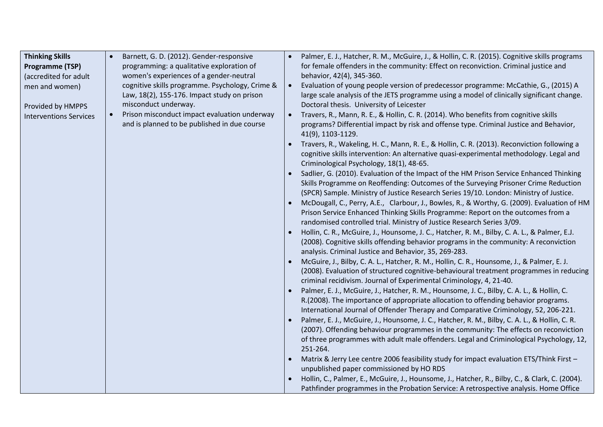| <b>Thinking Skills</b>        | Barnett, G. D. (2012). Gender-responsive                  | Palmer, E. J., Hatcher, R. M., McGuire, J., & Hollin, C. R. (2015). Cognitive skills programs                                                       |
|-------------------------------|-----------------------------------------------------------|-----------------------------------------------------------------------------------------------------------------------------------------------------|
| <b>Programme (TSP)</b>        | programming: a qualitative exploration of                 | for female offenders in the community: Effect on reconviction. Criminal justice and                                                                 |
| (accredited for adult         | women's experiences of a gender-neutral                   | behavior, 42(4), 345-360.                                                                                                                           |
| men and women)                | cognitive skills programme. Psychology, Crime &           | Evaluation of young people version of predecessor programme: McCathie, G., (2015) A                                                                 |
|                               | Law, 18(2), 155-176. Impact study on prison               | large scale analysis of the JETS programme using a model of clinically significant change.                                                          |
| Provided by HMPPS             | misconduct underway.                                      | Doctoral thesis. University of Leicester                                                                                                            |
| <b>Interventions Services</b> | Prison misconduct impact evaluation underway<br>$\bullet$ | Travers, R., Mann, R. E., & Hollin, C. R. (2014). Who benefits from cognitive skills                                                                |
|                               | and is planned to be published in due course              | programs? Differential impact by risk and offense type. Criminal Justice and Behavior,                                                              |
|                               |                                                           | 41(9), 1103-1129.                                                                                                                                   |
|                               |                                                           | Travers, R., Wakeling, H. C., Mann, R. E., & Hollin, C. R. (2013). Reconviction following a                                                         |
|                               |                                                           | cognitive skills intervention: An alternative quasi-experimental methodology. Legal and                                                             |
|                               |                                                           | Criminological Psychology, 18(1), 48-65.                                                                                                            |
|                               |                                                           | Sadlier, G. (2010). Evaluation of the Impact of the HM Prison Service Enhanced Thinking                                                             |
|                               |                                                           | Skills Programme on Reoffending: Outcomes of the Surveying Prisoner Crime Reduction                                                                 |
|                               |                                                           | (SPCR) Sample. Ministry of Justice Research Series 19/10. London: Ministry of Justice.                                                              |
|                               |                                                           | McDougall, C., Perry, A.E., Clarbour, J., Bowles, R., & Worthy, G. (2009). Evaluation of HM                                                         |
|                               |                                                           | Prison Service Enhanced Thinking Skills Programme: Report on the outcomes from a                                                                    |
|                               |                                                           | randomised controlled trial. Ministry of Justice Research Series 3/09.                                                                              |
|                               |                                                           | Hollin, C. R., McGuire, J., Hounsome, J. C., Hatcher, R. M., Bilby, C. A. L., & Palmer, E.J.                                                        |
|                               |                                                           | (2008). Cognitive skills offending behavior programs in the community: A reconviction                                                               |
|                               |                                                           | analysis. Criminal Justice and Behavior, 35, 269-283.<br>McGuire, J., Bilby, C. A. L., Hatcher, R. M., Hollin, C. R., Hounsome, J., & Palmer, E. J. |
|                               |                                                           | (2008). Evaluation of structured cognitive-behavioural treatment programmes in reducing                                                             |
|                               |                                                           | criminal recidivism. Journal of Experimental Criminology, 4, 21-40.                                                                                 |
|                               |                                                           | Palmer, E. J., McGuire, J., Hatcher, R. M., Hounsome, J. C., Bilby, C. A. L., & Hollin, C.                                                          |
|                               |                                                           | R.(2008). The importance of appropriate allocation to offending behavior programs.                                                                  |
|                               |                                                           | International Journal of Offender Therapy and Comparative Criminology, 52, 206-221.                                                                 |
|                               |                                                           | Palmer, E. J., McGuire, J., Hounsome, J. C., Hatcher, R. M., Bilby, C. A. L., & Hollin, C. R.                                                       |
|                               |                                                           | (2007). Offending behaviour programmes in the community: The effects on reconviction                                                                |
|                               |                                                           | of three programmes with adult male offenders. Legal and Criminological Psychology, 12,                                                             |
|                               |                                                           | 251-264.                                                                                                                                            |
|                               |                                                           | Matrix & Jerry Lee centre 2006 feasibility study for impact evaluation ETS/Think First -                                                            |
|                               |                                                           | unpublished paper commissioned by HO RDS                                                                                                            |
|                               |                                                           | Hollin, C., Palmer, E., McGuire, J., Hounsome, J., Hatcher, R., Bilby, C., & Clark, C. (2004).                                                      |
|                               |                                                           | Pathfinder programmes in the Probation Service: A retrospective analysis. Home Office                                                               |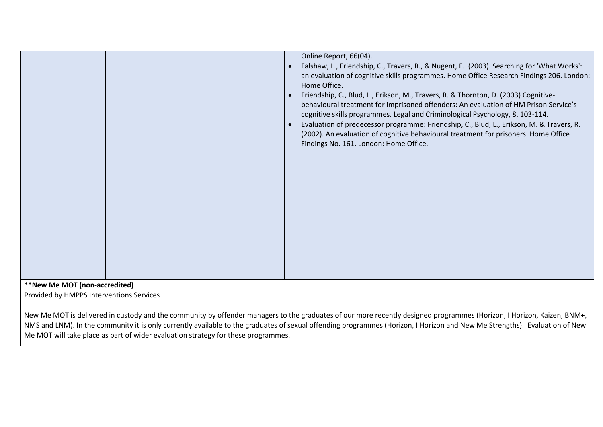|  | Online Report, 66(04).<br>Falshaw, L., Friendship, C., Travers, R., & Nugent, F. (2003). Searching for 'What Works':<br>an evaluation of cognitive skills programmes. Home Office Research Findings 206. London:<br>Home Office.<br>Friendship, C., Blud, L., Erikson, M., Travers, R. & Thornton, D. (2003) Cognitive-<br>behavioural treatment for imprisoned offenders: An evaluation of HM Prison Service's<br>cognitive skills programmes. Legal and Criminological Psychology, 8, 103-114.<br>Evaluation of predecessor programme: Friendship, C., Blud, L., Erikson, M. & Travers, R.<br>(2002). An evaluation of cognitive behavioural treatment for prisoners. Home Office<br>Findings No. 161. London: Home Office. |
|--|-------------------------------------------------------------------------------------------------------------------------------------------------------------------------------------------------------------------------------------------------------------------------------------------------------------------------------------------------------------------------------------------------------------------------------------------------------------------------------------------------------------------------------------------------------------------------------------------------------------------------------------------------------------------------------------------------------------------------------|
|--|-------------------------------------------------------------------------------------------------------------------------------------------------------------------------------------------------------------------------------------------------------------------------------------------------------------------------------------------------------------------------------------------------------------------------------------------------------------------------------------------------------------------------------------------------------------------------------------------------------------------------------------------------------------------------------------------------------------------------------|

**\*\*New Me MOT (non-accredited)**

Provided by HMPPS Interventions Services

New Me MOT is delivered in custody and the community by offender managers to the graduates of our more recently designed programmes (Horizon, I Horizon, Kaizen, BNM+, NMS and LNM). In the community it is only currently available to the graduates of sexual offending programmes (Horizon, I Horizon and New Me Strengths). Evaluation of New Me MOT will take place as part of wider evaluation strategy for these programmes.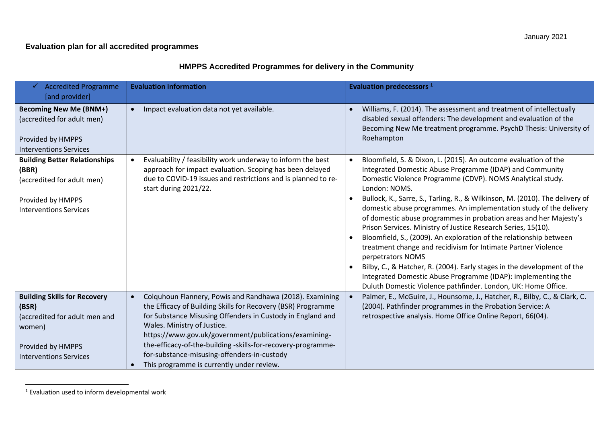### **Evaluation plan for all accredited programmes**

## **HMPPS Accredited Programmes for delivery in the Community**

| <b>Accredited Programme</b><br>✓<br>[and provider]                                                                                            | <b>Evaluation information</b>                                                                                                                                                                                                                                                                                                                                                                                                              | <b>Evaluation predecessors</b> <sup>1</sup>                                                                                                                                                                                                                                                                                                                                                                                                                                                                                                                                                                                                                                                                                                                                                                                                                                    |
|-----------------------------------------------------------------------------------------------------------------------------------------------|--------------------------------------------------------------------------------------------------------------------------------------------------------------------------------------------------------------------------------------------------------------------------------------------------------------------------------------------------------------------------------------------------------------------------------------------|--------------------------------------------------------------------------------------------------------------------------------------------------------------------------------------------------------------------------------------------------------------------------------------------------------------------------------------------------------------------------------------------------------------------------------------------------------------------------------------------------------------------------------------------------------------------------------------------------------------------------------------------------------------------------------------------------------------------------------------------------------------------------------------------------------------------------------------------------------------------------------|
| <b>Becoming New Me (BNM+)</b><br>(accredited for adult men)<br>Provided by HMPPS<br><b>Interventions Services</b>                             | Impact evaluation data not yet available.<br>$\bullet$                                                                                                                                                                                                                                                                                                                                                                                     | Williams, F. (2014). The assessment and treatment of intellectually<br>disabled sexual offenders: The development and evaluation of the<br>Becoming New Me treatment programme. PsychD Thesis: University of<br>Roehampton                                                                                                                                                                                                                                                                                                                                                                                                                                                                                                                                                                                                                                                     |
| <b>Building Better Relationships</b><br>(BBR)<br>(accredited for adult men)<br>Provided by HMPPS<br><b>Interventions Services</b>             | Evaluability / feasibility work underway to inform the best<br>approach for impact evaluation. Scoping has been delayed<br>due to COVID-19 issues and restrictions and is planned to re-<br>start during 2021/22.                                                                                                                                                                                                                          | Bloomfield, S. & Dixon, L. (2015). An outcome evaluation of the<br>Integrated Domestic Abuse Programme (IDAP) and Community<br>Domestic Violence Programme (CDVP). NOMS Analytical study.<br>London: NOMS.<br>Bullock, K., Sarre, S., Tarling, R., & Wilkinson, M. (2010). The delivery of<br>domestic abuse programmes. An implementation study of the delivery<br>of domestic abuse programmes in probation areas and her Majesty's<br>Prison Services. Ministry of Justice Research Series, 15(10).<br>Bloomfield, S., (2009). An exploration of the relationship between<br>treatment change and recidivism for Intimate Partner Violence<br>perpetrators NOMS<br>Bilby, C., & Hatcher, R. (2004). Early stages in the development of the<br>Integrated Domestic Abuse Programme (IDAP): implementing the<br>Duluth Domestic Violence pathfinder. London, UK: Home Office. |
| <b>Building Skills for Recovery</b><br>(BSR)<br>(accredited for adult men and<br>women)<br>Provided by HMPPS<br><b>Interventions Services</b> | Colquhoun Flannery, Powis and Randhawa (2018). Examining<br>the Efficacy of Building Skills for Recovery (BSR) Programme<br>for Substance Misusing Offenders in Custody in England and<br>Wales. Ministry of Justice.<br>https://www.gov.uk/government/publications/examining-<br>the-efficacy-of-the-building -skills-for-recovery-programme-<br>for-substance-misusing-offenders-in-custody<br>This programme is currently under review. | Palmer, E., McGuire, J., Hounsome, J., Hatcher, R., Bilby, C., & Clark, C.<br>(2004). Pathfinder programmes in the Probation Service: A<br>retrospective analysis. Home Office Online Report, 66(04).                                                                                                                                                                                                                                                                                                                                                                                                                                                                                                                                                                                                                                                                          |

<sup>1</sup> Evaluation used to inform developmental work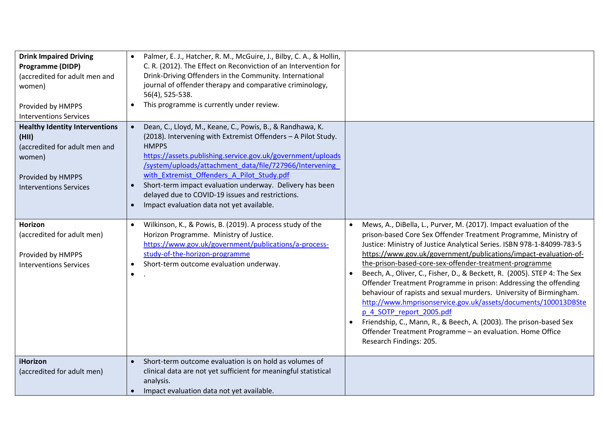| <b>Drink Impaired Driving</b><br>Programme (DIDP)<br>(accredited for adult men and<br>women)<br>Provided by HMPPS<br><b>Interventions Services</b> | Palmer, E. J., Hatcher, R. M., McGuire, J., Bilby, C. A., & Hollin,<br>C. R. (2012). The Effect on Reconviction of an Intervention for<br>Drink-Driving Offenders in the Community. International<br>journal of offender therapy and comparative criminology,<br>56(4), 525-538.<br>This programme is currently under review.                                                                                                                                                                             |                                                                                                                                                                                                                                                                                                                                                                                                                                                                                                                                                                                                                                                                                                                                                                                                                                              |
|----------------------------------------------------------------------------------------------------------------------------------------------------|-----------------------------------------------------------------------------------------------------------------------------------------------------------------------------------------------------------------------------------------------------------------------------------------------------------------------------------------------------------------------------------------------------------------------------------------------------------------------------------------------------------|----------------------------------------------------------------------------------------------------------------------------------------------------------------------------------------------------------------------------------------------------------------------------------------------------------------------------------------------------------------------------------------------------------------------------------------------------------------------------------------------------------------------------------------------------------------------------------------------------------------------------------------------------------------------------------------------------------------------------------------------------------------------------------------------------------------------------------------------|
| <b>Healthy Identity Interventions</b><br>(HII)<br>(accredited for adult men and<br>women)<br>Provided by HMPPS<br><b>Interventions Services</b>    | Dean, C., Lloyd, M., Keane, C., Powis, B., & Randhawa, K.<br>$\bullet$<br>(2018). Intervening with Extremist Offenders - A Pilot Study.<br><b>HMPPS</b><br>https://assets.publishing.service.gov.uk/government/uploads<br>/system/uploads/attachment data/file/727966/Intervening<br>with Extremist Offenders A Pilot Study.pdf<br>Short-term impact evaluation underway. Delivery has been<br>delayed due to COVID-19 issues and restrictions.<br>Impact evaluation data not yet available.<br>$\bullet$ |                                                                                                                                                                                                                                                                                                                                                                                                                                                                                                                                                                                                                                                                                                                                                                                                                                              |
| Horizon<br>(accredited for adult men)<br>Provided by HMPPS<br><b>Interventions Services</b>                                                        | Wilkinson, K., & Powis, B. (2019). A process study of the<br>$\bullet$<br>Horizon Programme. Ministry of Justice.<br>https://www.gov.uk/government/publications/a-process-<br>study-of-the-horizon-programme<br>Short-term outcome evaluation underway.<br>$\bullet$                                                                                                                                                                                                                                      | Mews, A., DiBella, L., Purver, M. (2017). Impact evaluation of the<br>$\bullet$<br>prison-based Core Sex Offender Treatment Programme, Ministry of<br>Justice: Ministry of Justice Analytical Series. ISBN 978-1-84099-783-5<br>https://www.gov.uk/government/publications/impact-evaluation-of-<br>the-prison-based-core-sex-offender-treatment-programme<br>Beech, A., Oliver, C., Fisher, D., & Beckett, R. (2005). STEP 4: The Sex<br>Offender Treatment Programme in prison: Addressing the offending<br>behaviour of rapists and sexual murders. University of Birmingham.<br>http://www.hmprisonservice.gov.uk/assets/documents/100013DBSte<br>p 4 SOTP report 2005.pdf<br>Friendship, C., Mann, R., & Beech, A. (2003). The prison-based Sex<br>Offender Treatment Programme - an evaluation. Home Office<br>Research Findings: 205. |
| <b>iHorizon</b><br>(accredited for adult men)                                                                                                      | Short-term outcome evaluation is on hold as volumes of<br>clinical data are not yet sufficient for meaningful statistical<br>analysis.<br>Impact evaluation data not yet available.                                                                                                                                                                                                                                                                                                                       |                                                                                                                                                                                                                                                                                                                                                                                                                                                                                                                                                                                                                                                                                                                                                                                                                                              |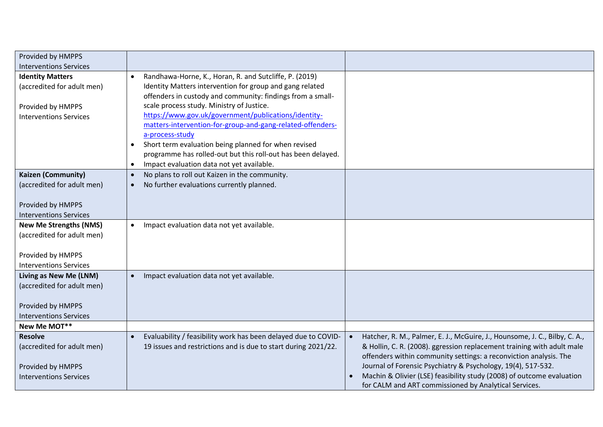| Provided by HMPPS             |                                                                     |                                                                                         |
|-------------------------------|---------------------------------------------------------------------|-----------------------------------------------------------------------------------------|
| <b>Interventions Services</b> |                                                                     |                                                                                         |
| <b>Identity Matters</b>       | Randhawa-Horne, K., Horan, R. and Sutcliffe, P. (2019)<br>$\bullet$ |                                                                                         |
| (accredited for adult men)    | Identity Matters intervention for group and gang related            |                                                                                         |
|                               | offenders in custody and community: findings from a small-          |                                                                                         |
| Provided by HMPPS             | scale process study. Ministry of Justice.                           |                                                                                         |
| <b>Interventions Services</b> | https://www.gov.uk/government/publications/identity-                |                                                                                         |
|                               | matters-intervention-for-group-and-gang-related-offenders-          |                                                                                         |
|                               | a-process-study                                                     |                                                                                         |
|                               | Short term evaluation being planned for when revised                |                                                                                         |
|                               | programme has rolled-out but this roll-out has been delayed.        |                                                                                         |
|                               | Impact evaluation data not yet available.<br>$\bullet$              |                                                                                         |
| <b>Kaizen (Community)</b>     | No plans to roll out Kaizen in the community.<br>$\bullet$          |                                                                                         |
| (accredited for adult men)    | No further evaluations currently planned.<br>$\bullet$              |                                                                                         |
|                               |                                                                     |                                                                                         |
| Provided by HMPPS             |                                                                     |                                                                                         |
| <b>Interventions Services</b> |                                                                     |                                                                                         |
| <b>New Me Strengths (NMS)</b> | Impact evaluation data not yet available.<br>$\bullet$              |                                                                                         |
| (accredited for adult men)    |                                                                     |                                                                                         |
|                               |                                                                     |                                                                                         |
| Provided by HMPPS             |                                                                     |                                                                                         |
| <b>Interventions Services</b> |                                                                     |                                                                                         |
| Living as New Me (LNM)        | Impact evaluation data not yet available.<br>$\bullet$              |                                                                                         |
| (accredited for adult men)    |                                                                     |                                                                                         |
|                               |                                                                     |                                                                                         |
| Provided by HMPPS             |                                                                     |                                                                                         |
| <b>Interventions Services</b> |                                                                     |                                                                                         |
| New Me MOT**                  |                                                                     |                                                                                         |
| <b>Resolve</b>                | Evaluability / feasibility work has been delayed due to COVID-      | Hatcher, R. M., Palmer, E. J., McGuire, J., Hounsome, J. C., Bilby, C. A.,<br>$\bullet$ |
| (accredited for adult men)    | 19 issues and restrictions and is due to start during 2021/22.      | & Hollin, C. R. (2008). ggression replacement training with adult male                  |
|                               |                                                                     | offenders within community settings: a reconviction analysis. The                       |
| Provided by HMPPS             |                                                                     | Journal of Forensic Psychiatry & Psychology, 19(4), 517-532.                            |
| <b>Interventions Services</b> |                                                                     | Machin & Olivier (LSE) feasibility study (2008) of outcome evaluation                   |
|                               |                                                                     | for CALM and ART commissioned by Analytical Services.                                   |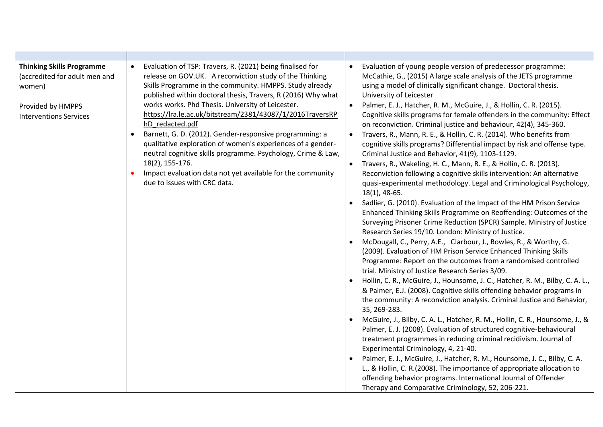| <b>Thinking Skills Programme</b><br>(accredited for adult men and<br>women)<br>Provided by HMPPS<br><b>Interventions Services</b> | Evaluation of TSP: Travers, R. (2021) being finalised for<br>release on GOV.UK. A reconviction study of the Thinking<br>Skills Programme in the community. HMPPS. Study already<br>published within doctoral thesis, Travers, R (2016) Why what<br>works works. Phd Thesis. University of Leicester.<br>https://lra.le.ac.uk/bitstream/2381/43087/1/2016TraversRP<br>hD redacted.pdf<br>Barnett, G. D. (2012). Gender-responsive programming: a<br>qualitative exploration of women's experiences of a gender-<br>neutral cognitive skills programme. Psychology, Crime & Law,<br>18(2), 155-176.<br>Impact evaluation data not yet available for the community<br>due to issues with CRC data. | Evaluation of young people version of predecessor programme:<br>McCathie, G., (2015) A large scale analysis of the JETS programme<br>using a model of clinically significant change. Doctoral thesis.<br>University of Leicester<br>Palmer, E. J., Hatcher, R. M., McGuire, J., & Hollin, C. R. (2015).<br>Cognitive skills programs for female offenders in the community: Effect<br>on reconviction. Criminal justice and behaviour, 42(4), 345-360.<br>Travers, R., Mann, R. E., & Hollin, C. R. (2014). Who benefits from<br>cognitive skills programs? Differential impact by risk and offense type.<br>Criminal Justice and Behavior, 41(9), 1103-1129.<br>Travers, R., Wakeling, H. C., Mann, R. E., & Hollin, C. R. (2013).<br>Reconviction following a cognitive skills intervention: An alternative<br>quasi-experimental methodology. Legal and Criminological Psychology,<br>$18(1)$ , 48-65.<br>Sadlier, G. (2010). Evaluation of the Impact of the HM Prison Service<br>Enhanced Thinking Skills Programme on Reoffending: Outcomes of the<br>Surveying Prisoner Crime Reduction (SPCR) Sample. Ministry of Justice<br>Research Series 19/10. London: Ministry of Justice.<br>McDougall, C., Perry, A.E., Clarbour, J., Bowles, R., & Worthy, G.<br>(2009). Evaluation of HM Prison Service Enhanced Thinking Skills<br>Programme: Report on the outcomes from a randomised controlled<br>trial. Ministry of Justice Research Series 3/09.<br>Hollin, C. R., McGuire, J., Hounsome, J. C., Hatcher, R. M., Bilby, C. A. L.,<br>& Palmer, E.J. (2008). Cognitive skills offending behavior programs in<br>the community: A reconviction analysis. Criminal Justice and Behavior,<br>35, 269-283.<br>McGuire, J., Bilby, C. A. L., Hatcher, R. M., Hollin, C. R., Hounsome, J., &<br>Palmer, E. J. (2008). Evaluation of structured cognitive-behavioural<br>treatment programmes in reducing criminal recidivism. Journal of<br>Experimental Criminology, 4, 21-40.<br>Palmer, E. J., McGuire, J., Hatcher, R. M., Hounsome, J. C., Bilby, C. A.<br>L., & Hollin, C. R.(2008). The importance of appropriate allocation to<br>offending behavior programs. International Journal of Offender<br>Therapy and Comparative Criminology, 52, 206-221. |
|-----------------------------------------------------------------------------------------------------------------------------------|-------------------------------------------------------------------------------------------------------------------------------------------------------------------------------------------------------------------------------------------------------------------------------------------------------------------------------------------------------------------------------------------------------------------------------------------------------------------------------------------------------------------------------------------------------------------------------------------------------------------------------------------------------------------------------------------------|----------------------------------------------------------------------------------------------------------------------------------------------------------------------------------------------------------------------------------------------------------------------------------------------------------------------------------------------------------------------------------------------------------------------------------------------------------------------------------------------------------------------------------------------------------------------------------------------------------------------------------------------------------------------------------------------------------------------------------------------------------------------------------------------------------------------------------------------------------------------------------------------------------------------------------------------------------------------------------------------------------------------------------------------------------------------------------------------------------------------------------------------------------------------------------------------------------------------------------------------------------------------------------------------------------------------------------------------------------------------------------------------------------------------------------------------------------------------------------------------------------------------------------------------------------------------------------------------------------------------------------------------------------------------------------------------------------------------------------------------------------------------------------------------------------------------------------------------------------------------------------------------------------------------------------------------------------------------------------------------------------------------------------------------------------------------------------------------------------------------------------------------------------------------------------------------------------------------------------------------------------------|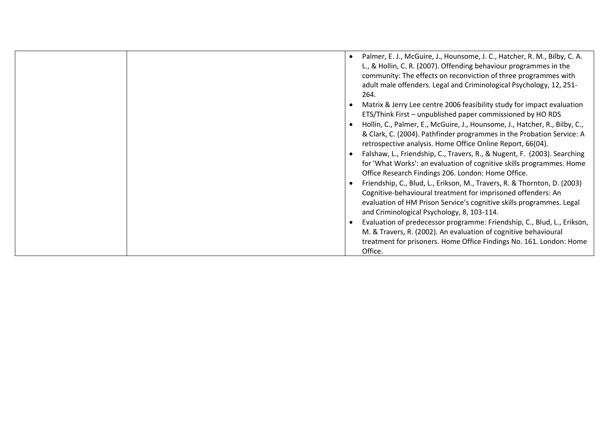| Palmer, E. J., McGuire, J., Hounsome, J. C., Hatcher, R. M., Bilby, C. A.<br>L., & Hollin, C. R. (2007). Offending behaviour programmes in the<br>community: The effects on reconviction of three programmes with<br>adult male offenders. Legal and Criminological Psychology, 12, 251-<br>264. |
|--------------------------------------------------------------------------------------------------------------------------------------------------------------------------------------------------------------------------------------------------------------------------------------------------|
| Matrix & Jerry Lee centre 2006 feasibility study for impact evaluation<br>ETS/Think First - unpublished paper commissioned by HO RDS                                                                                                                                                             |
| Hollin, C., Palmer, E., McGuire, J., Hounsome, J., Hatcher, R., Bilby, C.,<br>& Clark, C. (2004). Pathfinder programmes in the Probation Service: A<br>retrospective analysis. Home Office Online Report, 66(04).                                                                                |
| Falshaw, L., Friendship, C., Travers, R., & Nugent, F. (2003). Searching<br>for 'What Works': an evaluation of cognitive skills programmes. Home<br>Office Research Findings 206. London: Home Office.                                                                                           |
| Friendship, C., Blud, L., Erikson, M., Travers, R. & Thornton, D. (2003)<br>Cognitive-behavioural treatment for imprisoned offenders: An<br>evaluation of HM Prison Service's cognitive skills programmes. Legal<br>and Criminological Psychology, 8, 103-114.                                   |
| Evaluation of predecessor programme: Friendship, C., Blud, L., Erikson,<br>M. & Travers, R. (2002). An evaluation of cognitive behavioural<br>treatment for prisoners. Home Office Findings No. 161. London: Home<br>Office.                                                                     |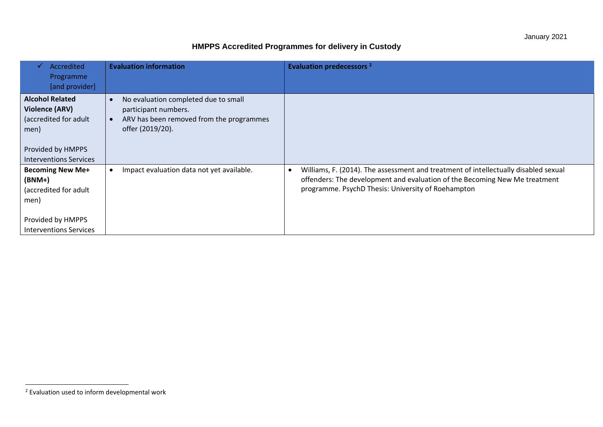## **HMPPS Accredited Programmes for delivery in Custody**

| Accredited<br>✓<br>Programme<br>[and provider]                                                                                         | <b>Evaluation information</b>                                                                                                | <b>Evaluation predecessors</b> <sup>2</sup>                                                                                                                                                                             |
|----------------------------------------------------------------------------------------------------------------------------------------|------------------------------------------------------------------------------------------------------------------------------|-------------------------------------------------------------------------------------------------------------------------------------------------------------------------------------------------------------------------|
| <b>Alcohol Related</b><br><b>Violence (ARV)</b><br>(accredited for adult<br>men)<br>Provided by HMPPS<br><b>Interventions Services</b> | No evaluation completed due to small<br>participant numbers.<br>ARV has been removed from the programmes<br>offer (2019/20). |                                                                                                                                                                                                                         |
| <b>Becoming New Me+</b><br>$(BNM+)$<br>(accredited for adult<br>men)<br>Provided by HMPPS<br><b>Interventions Services</b>             | Impact evaluation data not yet available.                                                                                    | Williams, F. (2014). The assessment and treatment of intellectually disabled sexual<br>offenders: The development and evaluation of the Becoming New Me treatment<br>programme. PsychD Thesis: University of Roehampton |

<sup>2</sup> Evaluation used to inform developmental work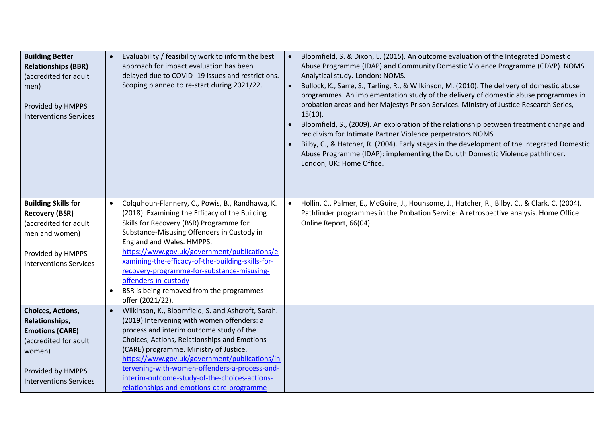| <b>Building Better</b><br><b>Relationships (BBR)</b><br>(accredited for adult<br>men)<br>Provided by HMPPS<br><b>Interventions Services</b>            | Evaluability / feasibility work to inform the best<br>approach for impact evaluation has been<br>delayed due to COVID-19 issues and restrictions.<br>Scoping planned to re-start during 2021/22.                                                                                                                                                                                                                                                                                             | Bloomfield, S. & Dixon, L. (2015). An outcome evaluation of the Integrated Domestic<br>Abuse Programme (IDAP) and Community Domestic Violence Programme (CDVP). NOMS<br>Analytical study. London: NOMS.<br>Bullock, K., Sarre, S., Tarling, R., & Wilkinson, M. (2010). The delivery of domestic abuse<br>programmes. An implementation study of the delivery of domestic abuse programmes in<br>probation areas and her Majestys Prison Services. Ministry of Justice Research Series,<br>$15(10)$ .<br>Bloomfield, S., (2009). An exploration of the relationship between treatment change and<br>recidivism for Intimate Partner Violence perpetrators NOMS<br>Bilby, C., & Hatcher, R. (2004). Early stages in the development of the Integrated Domestic<br>Abuse Programme (IDAP): implementing the Duluth Domestic Violence pathfinder.<br>London, UK: Home Office. |
|--------------------------------------------------------------------------------------------------------------------------------------------------------|----------------------------------------------------------------------------------------------------------------------------------------------------------------------------------------------------------------------------------------------------------------------------------------------------------------------------------------------------------------------------------------------------------------------------------------------------------------------------------------------|----------------------------------------------------------------------------------------------------------------------------------------------------------------------------------------------------------------------------------------------------------------------------------------------------------------------------------------------------------------------------------------------------------------------------------------------------------------------------------------------------------------------------------------------------------------------------------------------------------------------------------------------------------------------------------------------------------------------------------------------------------------------------------------------------------------------------------------------------------------------------|
| <b>Building Skills for</b><br><b>Recovery (BSR)</b><br>(accredited for adult<br>men and women)<br>Provided by HMPPS<br><b>Interventions Services</b>   | Colquhoun-Flannery, C., Powis, B., Randhawa, K.<br>$\bullet$<br>(2018). Examining the Efficacy of the Building<br>Skills for Recovery (BSR) Programme for<br>Substance-Misusing Offenders in Custody in<br>England and Wales. HMPPS.<br>https://www.gov.uk/government/publications/e<br>xamining-the-efficacy-of-the-building-skills-for-<br>recovery-programme-for-substance-misusing-<br>offenders-in-custody<br>BSR is being removed from the programmes<br>$\bullet$<br>offer (2021/22). | Hollin, C., Palmer, E., McGuire, J., Hounsome, J., Hatcher, R., Bilby, C., & Clark, C. (2004).<br>Pathfinder programmes in the Probation Service: A retrospective analysis. Home Office<br>Online Report, 66(04).                                                                                                                                                                                                                                                                                                                                                                                                                                                                                                                                                                                                                                                          |
| Choices, Actions,<br>Relationships,<br><b>Emotions (CARE)</b><br>(accredited for adult<br>women)<br>Provided by HMPPS<br><b>Interventions Services</b> | Wilkinson, K., Bloomfield, S. and Ashcroft, Sarah.<br>(2019) Intervening with women offenders: a<br>process and interim outcome study of the<br>Choices, Actions, Relationships and Emotions<br>(CARE) programme. Ministry of Justice.<br>https://www.gov.uk/government/publications/in<br>tervening-with-women-offenders-a-process-and-<br>interim-outcome-study-of-the-choices-actions-<br>relationships-and-emotions-care-programme                                                       |                                                                                                                                                                                                                                                                                                                                                                                                                                                                                                                                                                                                                                                                                                                                                                                                                                                                            |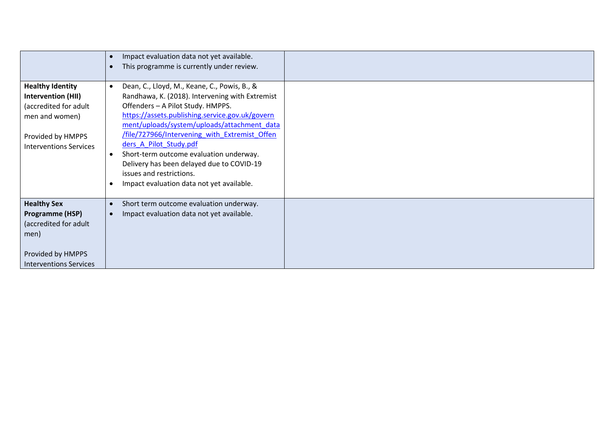|                                                                                                                                                       | Impact evaluation data not yet available.<br>This programme is currently under review.                                                                                                                                                                                                                                                                                                                                                                                             |
|-------------------------------------------------------------------------------------------------------------------------------------------------------|------------------------------------------------------------------------------------------------------------------------------------------------------------------------------------------------------------------------------------------------------------------------------------------------------------------------------------------------------------------------------------------------------------------------------------------------------------------------------------|
| <b>Healthy Identity</b><br><b>Intervention (HII)</b><br>(accredited for adult<br>men and women)<br>Provided by HMPPS<br><b>Interventions Services</b> | Dean, C., Lloyd, M., Keane, C., Powis, B., &<br>Randhawa, K. (2018). Intervening with Extremist<br>Offenders - A Pilot Study. HMPPS.<br>https://assets.publishing.service.gov.uk/govern<br>ment/uploads/system/uploads/attachment data<br>/file/727966/Intervening with Extremist Offen<br>ders A Pilot Study.pdf<br>Short-term outcome evaluation underway.<br>Delivery has been delayed due to COVID-19<br>issues and restrictions.<br>Impact evaluation data not yet available. |
| <b>Healthy Sex</b><br>Programme (HSP)<br>(accredited for adult<br>men)<br>Provided by HMPPS<br><b>Interventions Services</b>                          | Short term outcome evaluation underway.<br>$\bullet$<br>Impact evaluation data not yet available.                                                                                                                                                                                                                                                                                                                                                                                  |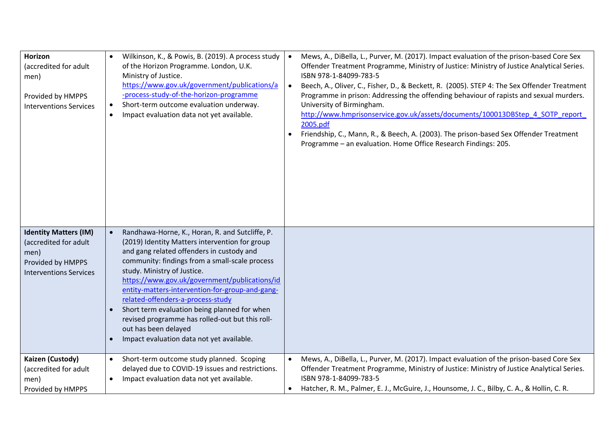| Horizon<br>(accredited for adult<br>men)<br>Provided by HMPPS<br><b>Interventions Services</b>                      | Wilkinson, K., & Powis, B. (2019). A process study<br>of the Horizon Programme. London, U.K.<br>Ministry of Justice.<br>https://www.gov.uk/government/publications/a<br>-process-study-of-the-horizon-programme<br>Short-term outcome evaluation underway.<br>$\bullet$<br>Impact evaluation data not yet available.<br>$\bullet$                                                                                                                                                                                                                | Mews, A., DiBella, L., Purver, M. (2017). Impact evaluation of the prison-based Core Sex<br>$\bullet$<br>Offender Treatment Programme, Ministry of Justice: Ministry of Justice Analytical Series.<br>ISBN 978-1-84099-783-5<br>Beech, A., Oliver, C., Fisher, D., & Beckett, R. (2005). STEP 4: The Sex Offender Treatment<br>$\bullet$<br>Programme in prison: Addressing the offending behaviour of rapists and sexual murders.<br>University of Birmingham.<br>http://www.hmprisonservice.gov.uk/assets/documents/100013DBStep 4 SOTP report<br>2005.pdf<br>Friendship, C., Mann, R., & Beech, A. (2003). The prison-based Sex Offender Treatment<br>Programme - an evaluation. Home Office Research Findings: 205. |
|---------------------------------------------------------------------------------------------------------------------|--------------------------------------------------------------------------------------------------------------------------------------------------------------------------------------------------------------------------------------------------------------------------------------------------------------------------------------------------------------------------------------------------------------------------------------------------------------------------------------------------------------------------------------------------|-------------------------------------------------------------------------------------------------------------------------------------------------------------------------------------------------------------------------------------------------------------------------------------------------------------------------------------------------------------------------------------------------------------------------------------------------------------------------------------------------------------------------------------------------------------------------------------------------------------------------------------------------------------------------------------------------------------------------|
| <b>Identity Matters (IM)</b><br>(accredited for adult<br>men)<br>Provided by HMPPS<br><b>Interventions Services</b> | Randhawa-Horne, K., Horan, R. and Sutcliffe, P.<br>(2019) Identity Matters intervention for group<br>and gang related offenders in custody and<br>community: findings from a small-scale process<br>study. Ministry of Justice.<br>https://www.gov.uk/government/publications/id<br>entity-matters-intervention-for-group-and-gang-<br>related-offenders-a-process-study<br>Short term evaluation being planned for when<br>revised programme has rolled-out but this roll-<br>out has been delayed<br>Impact evaluation data not yet available. |                                                                                                                                                                                                                                                                                                                                                                                                                                                                                                                                                                                                                                                                                                                         |
| Kaizen (Custody)<br>(accredited for adult<br>men)<br>Provided by HMPPS                                              | Short-term outcome study planned. Scoping<br>$\bullet$<br>delayed due to COVID-19 issues and restrictions.<br>Impact evaluation data not yet available.<br>$\bullet$                                                                                                                                                                                                                                                                                                                                                                             | Mews, A., DiBella, L., Purver, M. (2017). Impact evaluation of the prison-based Core Sex<br>$\bullet$<br>Offender Treatment Programme, Ministry of Justice: Ministry of Justice Analytical Series.<br>ISBN 978-1-84099-783-5<br>Hatcher, R. M., Palmer, E. J., McGuire, J., Hounsome, J. C., Bilby, C. A., & Hollin, C. R.                                                                                                                                                                                                                                                                                                                                                                                              |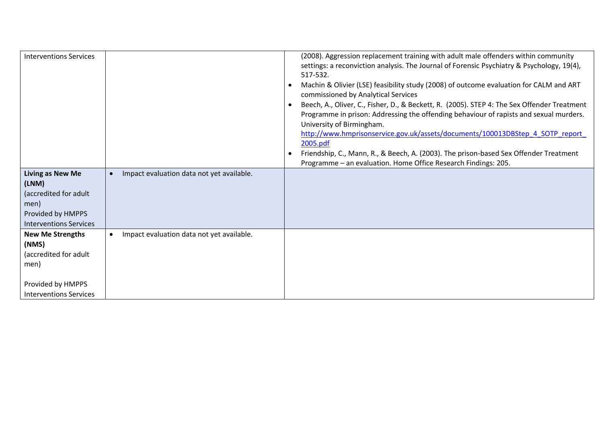| <b>Interventions Services</b>                                                                                           |                                           | (2008). Aggression replacement training with adult male offenders within community<br>settings: a reconviction analysis. The Journal of Forensic Psychiatry & Psychology, 19(4),<br>517-532.<br>Machin & Olivier (LSE) feasibility study (2008) of outcome evaluation for CALM and ART<br>commissioned by Analytical Services<br>Beech, A., Oliver, C., Fisher, D., & Beckett, R. (2005). STEP 4: The Sex Offender Treatment<br>Programme in prison: Addressing the offending behaviour of rapists and sexual murders.<br>University of Birmingham.<br>http://www.hmprisonservice.gov.uk/assets/documents/100013DBStep 4 SOTP report<br>2005.pdf<br>Friendship, C., Mann, R., & Beech, A. (2003). The prison-based Sex Offender Treatment<br>Programme - an evaluation. Home Office Research Findings: 205. |
|-------------------------------------------------------------------------------------------------------------------------|-------------------------------------------|-------------------------------------------------------------------------------------------------------------------------------------------------------------------------------------------------------------------------------------------------------------------------------------------------------------------------------------------------------------------------------------------------------------------------------------------------------------------------------------------------------------------------------------------------------------------------------------------------------------------------------------------------------------------------------------------------------------------------------------------------------------------------------------------------------------|
| <b>Living as New Me</b><br>(LNM)<br>(accredited for adult<br>men)<br>Provided by HMPPS<br><b>Interventions Services</b> | Impact evaluation data not yet available. |                                                                                                                                                                                                                                                                                                                                                                                                                                                                                                                                                                                                                                                                                                                                                                                                             |
| <b>New Me Strengths</b><br>(NMS)<br>(accredited for adult<br>men)<br>Provided by HMPPS<br><b>Interventions Services</b> | Impact evaluation data not yet available. |                                                                                                                                                                                                                                                                                                                                                                                                                                                                                                                                                                                                                                                                                                                                                                                                             |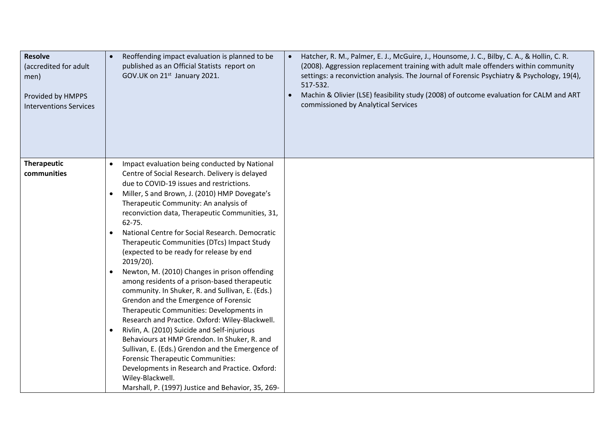| <b>Resolve</b><br>(accredited for adult<br>men)<br>Provided by HMPPS<br><b>Interventions Services</b> | Reoffending impact evaluation is planned to be<br>published as an Official Statists report on<br>GOV.UK on 21st January 2021. | Hatcher, R. M., Palmer, E. J., McGuire, J., Hounsome, J. C., Bilby, C. A., & Hollin, C. R.<br>(2008). Aggression replacement training with adult male offenders within community<br>settings: a reconviction analysis. The Journal of Forensic Psychiatry & Psychology, 19(4),<br>517-532.<br>Machin & Olivier (LSE) feasibility study (2008) of outcome evaluation for CALM and ART<br>commissioned by Analytical Services |
|-------------------------------------------------------------------------------------------------------|-------------------------------------------------------------------------------------------------------------------------------|-----------------------------------------------------------------------------------------------------------------------------------------------------------------------------------------------------------------------------------------------------------------------------------------------------------------------------------------------------------------------------------------------------------------------------|
| Therapeutic                                                                                           | Impact evaluation being conducted by National                                                                                 |                                                                                                                                                                                                                                                                                                                                                                                                                             |
| communities                                                                                           | Centre of Social Research. Delivery is delayed                                                                                |                                                                                                                                                                                                                                                                                                                                                                                                                             |
|                                                                                                       | due to COVID-19 issues and restrictions.                                                                                      |                                                                                                                                                                                                                                                                                                                                                                                                                             |
|                                                                                                       | Miller, S and Brown, J. (2010) HMP Dovegate's<br>Therapeutic Community: An analysis of                                        |                                                                                                                                                                                                                                                                                                                                                                                                                             |
|                                                                                                       | reconviction data, Therapeutic Communities, 31,                                                                               |                                                                                                                                                                                                                                                                                                                                                                                                                             |
|                                                                                                       | $62 - 75.$                                                                                                                    |                                                                                                                                                                                                                                                                                                                                                                                                                             |
|                                                                                                       | National Centre for Social Research. Democratic                                                                               |                                                                                                                                                                                                                                                                                                                                                                                                                             |
|                                                                                                       | Therapeutic Communities (DTcs) Impact Study                                                                                   |                                                                                                                                                                                                                                                                                                                                                                                                                             |
|                                                                                                       | (expected to be ready for release by end                                                                                      |                                                                                                                                                                                                                                                                                                                                                                                                                             |
|                                                                                                       | 2019/20).                                                                                                                     |                                                                                                                                                                                                                                                                                                                                                                                                                             |
|                                                                                                       | Newton, M. (2010) Changes in prison offending<br>among residents of a prison-based therapeutic                                |                                                                                                                                                                                                                                                                                                                                                                                                                             |
|                                                                                                       | community. In Shuker, R. and Sullivan, E. (Eds.)                                                                              |                                                                                                                                                                                                                                                                                                                                                                                                                             |
|                                                                                                       | Grendon and the Emergence of Forensic                                                                                         |                                                                                                                                                                                                                                                                                                                                                                                                                             |
|                                                                                                       | Therapeutic Communities: Developments in                                                                                      |                                                                                                                                                                                                                                                                                                                                                                                                                             |
|                                                                                                       | Research and Practice. Oxford: Wiley-Blackwell.                                                                               |                                                                                                                                                                                                                                                                                                                                                                                                                             |
|                                                                                                       | Rivlin, A. (2010) Suicide and Self-injurious                                                                                  |                                                                                                                                                                                                                                                                                                                                                                                                                             |
|                                                                                                       | Behaviours at HMP Grendon. In Shuker, R. and                                                                                  |                                                                                                                                                                                                                                                                                                                                                                                                                             |
|                                                                                                       | Sullivan, E. (Eds.) Grendon and the Emergence of                                                                              |                                                                                                                                                                                                                                                                                                                                                                                                                             |
|                                                                                                       | <b>Forensic Therapeutic Communities:</b><br>Developments in Research and Practice. Oxford:                                    |                                                                                                                                                                                                                                                                                                                                                                                                                             |
|                                                                                                       | Wiley-Blackwell.                                                                                                              |                                                                                                                                                                                                                                                                                                                                                                                                                             |
|                                                                                                       | Marshall, P. (1997) Justice and Behavior, 35, 269-                                                                            |                                                                                                                                                                                                                                                                                                                                                                                                                             |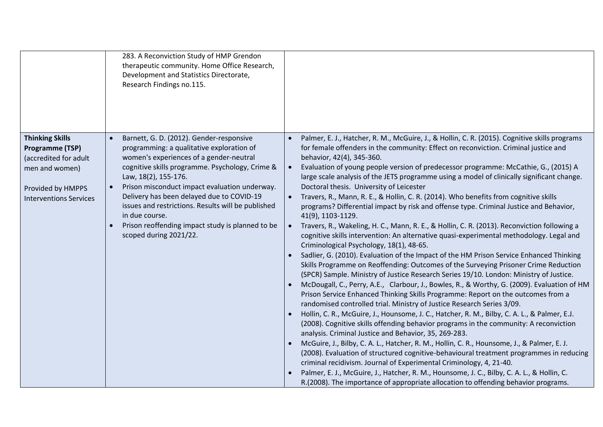|                                                                                                                                            | 283. A Reconviction Study of HMP Grendon<br>therapeutic community. Home Office Research,<br>Development and Statistics Directorate,<br>Research Findings no.115.                                                                                                                                                                                                                                                                                                |                                                                                                                                                                                                                                                                                                                                                                                                                                                                                                                                                                                                                                                                                                                                                                                                                                                                                                                                                                                                                                                                                                                                                                                                                                                                                                                                                                                                                                                                                                                                                                                                                                                                                                                                                                                                                                                                                                                                                                                                                                                                                                                                                             |
|--------------------------------------------------------------------------------------------------------------------------------------------|-----------------------------------------------------------------------------------------------------------------------------------------------------------------------------------------------------------------------------------------------------------------------------------------------------------------------------------------------------------------------------------------------------------------------------------------------------------------|-------------------------------------------------------------------------------------------------------------------------------------------------------------------------------------------------------------------------------------------------------------------------------------------------------------------------------------------------------------------------------------------------------------------------------------------------------------------------------------------------------------------------------------------------------------------------------------------------------------------------------------------------------------------------------------------------------------------------------------------------------------------------------------------------------------------------------------------------------------------------------------------------------------------------------------------------------------------------------------------------------------------------------------------------------------------------------------------------------------------------------------------------------------------------------------------------------------------------------------------------------------------------------------------------------------------------------------------------------------------------------------------------------------------------------------------------------------------------------------------------------------------------------------------------------------------------------------------------------------------------------------------------------------------------------------------------------------------------------------------------------------------------------------------------------------------------------------------------------------------------------------------------------------------------------------------------------------------------------------------------------------------------------------------------------------------------------------------------------------------------------------------------------------|
| <b>Thinking Skills</b><br>Programme (TSP)<br>(accredited for adult<br>men and women)<br>Provided by HMPPS<br><b>Interventions Services</b> | Barnett, G. D. (2012). Gender-responsive<br>programming: a qualitative exploration of<br>women's experiences of a gender-neutral<br>cognitive skills programme. Psychology, Crime &<br>Law, 18(2), 155-176.<br>Prison misconduct impact evaluation underway.<br>Delivery has been delayed due to COVID-19<br>issues and restrictions. Results will be published<br>in due course.<br>Prison reoffending impact study is planned to be<br>scoped during 2021/22. | Palmer, E. J., Hatcher, R. M., McGuire, J., & Hollin, C. R. (2015). Cognitive skills programs<br>for female offenders in the community: Effect on reconviction. Criminal justice and<br>behavior, 42(4), 345-360.<br>Evaluation of young people version of predecessor programme: McCathie, G., (2015) A<br>$\bullet$<br>large scale analysis of the JETS programme using a model of clinically significant change.<br>Doctoral thesis. University of Leicester<br>Travers, R., Mann, R. E., & Hollin, C. R. (2014). Who benefits from cognitive skills<br>programs? Differential impact by risk and offense type. Criminal Justice and Behavior,<br>41(9), 1103-1129.<br>Travers, R., Wakeling, H. C., Mann, R. E., & Hollin, C. R. (2013). Reconviction following a<br>cognitive skills intervention: An alternative quasi-experimental methodology. Legal and<br>Criminological Psychology, 18(1), 48-65.<br>Sadlier, G. (2010). Evaluation of the Impact of the HM Prison Service Enhanced Thinking<br>Skills Programme on Reoffending: Outcomes of the Surveying Prisoner Crime Reduction<br>(SPCR) Sample. Ministry of Justice Research Series 19/10. London: Ministry of Justice.<br>McDougall, C., Perry, A.E., Clarbour, J., Bowles, R., & Worthy, G. (2009). Evaluation of HM<br>Prison Service Enhanced Thinking Skills Programme: Report on the outcomes from a<br>randomised controlled trial. Ministry of Justice Research Series 3/09.<br>Hollin, C. R., McGuire, J., Hounsome, J. C., Hatcher, R. M., Bilby, C. A. L., & Palmer, E.J.<br>(2008). Cognitive skills offending behavior programs in the community: A reconviction<br>analysis. Criminal Justice and Behavior, 35, 269-283.<br>McGuire, J., Bilby, C. A. L., Hatcher, R. M., Hollin, C. R., Hounsome, J., & Palmer, E. J.<br>(2008). Evaluation of structured cognitive-behavioural treatment programmes in reducing<br>criminal recidivism. Journal of Experimental Criminology, 4, 21-40.<br>Palmer, E. J., McGuire, J., Hatcher, R. M., Hounsome, J. C., Bilby, C. A. L., & Hollin, C.<br>R.(2008). The importance of appropriate allocation to offending behavior programs. |